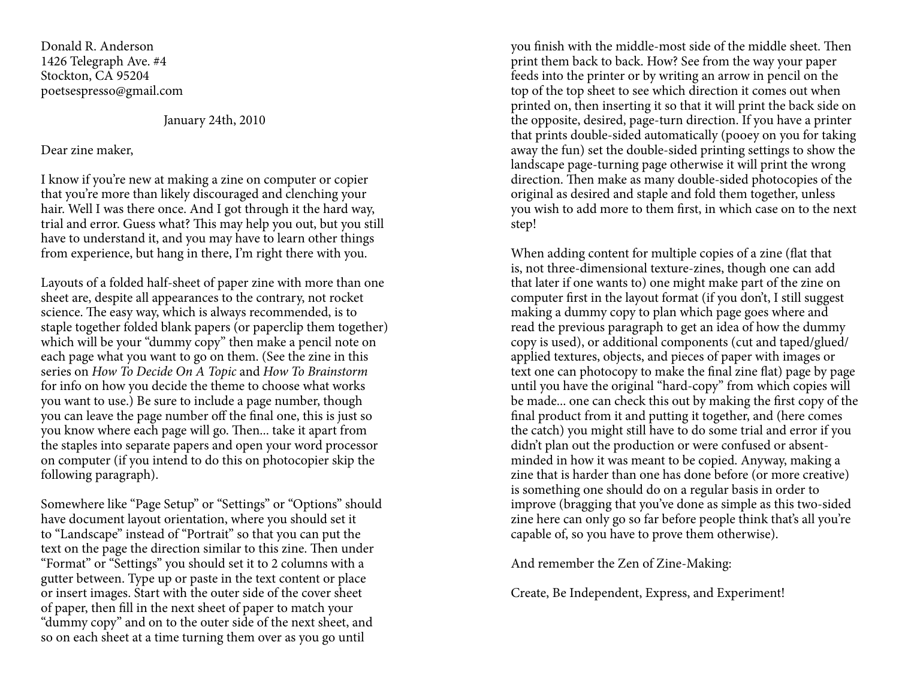Donald R. Anderson 1426 Telegraph Ave. #4Stockton, CA 95204poetsespresso@gmail.com

January 24th, 2010

## Dear zine maker,

I know if you're new at making a zine on computer or copier that you're more than likely discouraged and clenching your hair. Well I was there once. And I got through it the hard way, trial and error. Guess what? This may help you out, but you still have to understand it, and you may have to learn other things from experience, but hang in there, I'm right there with you.

Layouts of a folded half-sheet of paper zine with more than one sheet are, despite all appearances to the contrary, not rocket science. The easy way, which is always recommended, is to staple together folded blank papers (or paperclip them together) which will be your "dummy copy" then make a pencil note on each page what you want to go on them. (See the zine in this series on How To Decide On A Topic and How To Brainstorm for info on how you decide the theme to choose what works you want to use.) Be sure to include a page number, though you can leave the page number off the final one, this is just so you know where each page will go. Then... take it apart from the staples into separate papers and open your word processor on computer (if you intend to do this on photocopier skip thefollowing paragraph).

Somewhere like "Page Setup" or "Settings" or "Options" should have document layout orientation, where you should set it to "Landscape" instead of "Portrait" so that you can put the text on the page the direction similar to this zine. Then under "Format" or "Settings" you should set it to 2 columns with a gutter between. Type up or paste in the text content or place or insert images. Start with the outer side of the cover sheet of paper, then fill in the next sheet of paper to match your "dummy copy" and on to the outer side of the next sheet, and so on each sheet at a time turning them over as you go until

you finish with the middle-most side of the middle sheet. Then print them back to back. How? See from the way your paper feeds into the printer or by writing an arrow in pencil on the top of the top sheet to see which direction it comes out when printed on, then inserting it so that it will print the back side on the opposite, desired, page-turn direction. If you have a printer that prints double-sided automatically (pooey on you for taking away the fun) set the double-sided printing settings to show the landscape page-turning page otherwise it will print the wrong direction. Then make as many double-sided photocopies of the original as desired and staple and fold them together, unless you wish to add more to them first, in which case on to the next step!

When adding content for multiple copies of a zine (flat that is, not three-dimensional texture-zines, though one can add that later if one wants to) one might make part of the zine on computer first in the layout format (if you don't, I still suggest making a dummy copy to plan which page goes where and read the previous paragraph to get an idea of how the dummy copy is used), or additional components (cut and taped/glued/applied textures, objects, and pieces of paper with images or text one can photocopy to make the final zine flat) page by page until you have the original "hard-copy" from which copies will be made... one can check this out by making the first copy of the final product from it and putting it together, and (here comes the catch) you might still have to do some trial and error if you didn't plan out the production or were confused or absentminded in how it was meant to be copied. Anyway, making a zine that is harder than one has done before (or more creative)is something one should do on a regular basis in order to improve (bragging that you've done as simple as this two-sided zine here can only go so far before people think that's all you're capable of, so you have to prove them otherwise).

And remember the Zen of Zine-Making:

Create, Be Independent, Express, and Experiment!